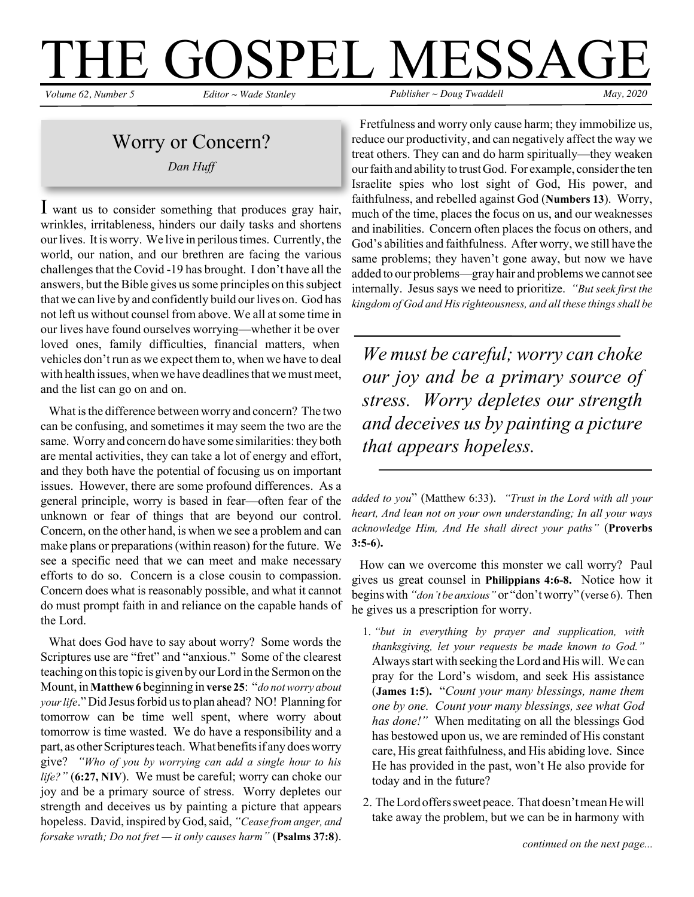### THE GOSPEL MESSAGE *Volume 62, Number 5 Editor ~ Wade Stanley Publisher ~ Doug Twaddell May, 2020*

# Worry or Concern?

*Dan Huff*

I want us to consider something that produces gray hair, wrinkles, irritableness, hinders our daily tasks and shortens our lives. It is worry. We live in perilous times. Currently, the world, our nation, and our brethren are facing the various challenges that the Covid -19 has brought. I don't have all the answers, but the Bible gives us some principles on this subject that we can live by and confidently build our lives on. God has not left us without counsel from above. We all atsome time in our lives have found ourselves worrying—whether it be over loved ones, family difficulties, financial matters, when vehicles don't run as we expect them to, when we have to deal with health issues, when we have deadlines that we must meet, and the list can go on and on.

What is the difference between worry and concern? The two can be confusing, and sometimes it may seem the two are the same. Worry and concern do have some similarities: they both are mental activities, they can take a lot of energy and effort, and they both have the potential of focusing us on important issues. However, there are some profound differences. As a general principle, worry is based in fear—often fear of the unknown or fear of things that are beyond our control. Concern, on the other hand, is when we see a problem and can make plans or preparations(within reason) for the future. We see a specific need that we can meet and make necessary efforts to do so. Concern is a close cousin to compassion. Concern does what is reasonably possible, and what it cannot do must prompt faith in and reliance on the capable hands of the Lord.

What does God have to say about worry? Some words the Scriptures use are "fret" and "anxious." Some of the clearest teaching on this topic is given by our Lord in the Sermon on the Mount, in **Matthew 6** beginning in **verse 25**: "*do notworry about your life.*" Did Jesus forbid us to plan ahead? NO! Planning for tomorrow can be time well spent, where worry about tomorrow is time wasted. We do have a responsibility and a part, as other Scriptures teach. What benefits if any does worry give? *"Who of you by worrying can add a single hour to his life?"* (**6:27, NIV**). We must be careful; worry can choke our joy and be a primary source of stress. Worry depletes our strength and deceives us by painting a picture that appears hopeless. David, inspired by God,said, *"Cease from anger, and forsake wrath; Do not fret — it only causes harm"* (**Psalms 37:8**).

Fretfulness and worry only cause harm; they immobilize us, reduce our productivity, and can negatively affect the way we treat others. They can and do harm spiritually—they weaken our faith and ability to trust God. For example, consider the ten Israelite spies who lost sight of God, His power, and faithfulness, and rebelled against God (**Numbers 13**). Worry, much of the time, places the focus on us, and our weaknesses and inabilities. Concern often places the focus on others, and God's abilities and faithfulness. After worry, we still have the same problems; they haven't gone away, but now we have added to our problems—gray hair and problems we cannotsee internally. Jesus says we need to prioritize. *"But seek first the kingdom of God and Hisrighteousness, and all these thingsshall be*

*We must be careful; worry can choke our joy and be a primary source of stress. Worry depletes our strength and deceives us by painting a picture that appears hopeless.*

*added to you*" (Matthew 6:33). *"Trust in the Lord with all your heart, And lean not on your own understanding; In all your ways acknowledge Him, And He shall direct your paths"* (**Proverbs 3:5-6**)**.**

How can we overcome this monster we call worry? Paul gives us great counsel in **Philippians 4:6-8.** Notice how it beginswith *"don't be anxious"* or "don'tworry" (verse 6). Then he gives us a prescription for worry.

- 1. *"but in everything by prayer and supplication, with thanksgiving, let your requests be made known to God."* Alwaysstart with seeking theLord and His will. We can pray for the Lord's wisdom, and seek His assistance (**James 1:5**)**.** "*Count your many blessings, name them one by one. Count your many blessings, see what God has done!"* When meditating on all the blessings God has bestowed upon us, we are reminded of His constant care, His great faithfulness, and His abiding love. Since He has provided in the past, won't He also provide for today and in the future?
- 2. The Lord offers sweet peace. That doesn't mean He will take away the problem, but we can be in harmony with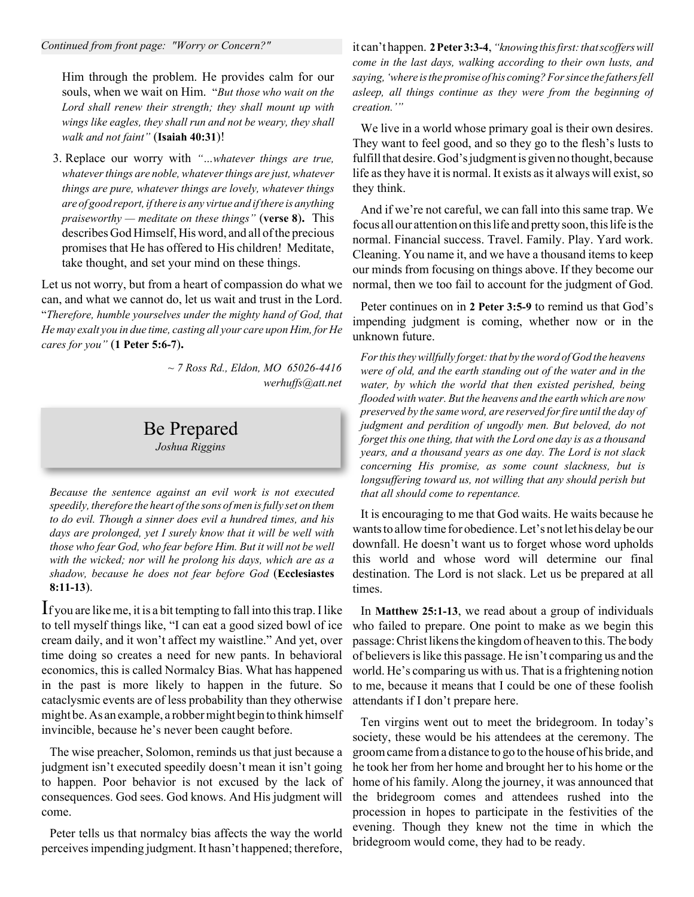Him through the problem. He provides calm for our souls, when we wait on Him. "*But those who wait on the Lord shall renew their strength; they shall mount up with wings like eagles, they shall run and not be weary, they shall walk and not faint"* (**Isaiah 40:31**)!

3. Replace our worry with *"…whatever things are true, whateverthings are noble,whateverthings are just,whatever things are pure, whatever things are lovely, whatever things are of good report, if there is any virtue and if there is anything praiseworthy — meditate on these things"* (**verse 8**)**.** This describes God Himself, His word, and all ofthe precious promises that He has offered to His children! Meditate, take thought, and set your mind on these things.

Let us not worry, but from a heart of compassion do what we can, and what we cannot do, let us wait and trust in the Lord. "*Therefore, humble yourselves under the mighty hand of God, that He may exalt you in due time, casting all your care upon Him, for He cares for you"* (**1 Peter 5:6-7**)**.**

> *~ 7 Ross Rd., Eldon, MO 65026-4416 werhuffs@att.net*

#### Be Prepared *Joshua Riggins*

*Because the sentence against an evil work is not executed speedily, therefore the heart of the sons ofmen isfully set on them to do evil. Though a sinner does evil a hundred times, and his days are prolonged, yet I surely know that it will be well with those who fear God, who fear before Him. But it will not be well with the wicked; nor will he prolong his days, which are as a shadow, because he does not fear before God* (**Ecclesiastes 8:11-13**).

If you are like me, it is <sup>a</sup> bit tempting to fall into thistrap.Ilike to tell myself things like, "I can eat a good sized bowl of ice cream daily, and it won't affect my waistline." And yet, over time doing so creates a need for new pants. In behavioral economics, this is called Normalcy Bias. What has happened in the past is more likely to happen in the future. So cataclysmic events are of less probability than they otherwise might be.As an example, a robbermight begin to think himself invincible, because he's never been caught before.

The wise preacher, Solomon, reminds us that just because a judgment isn't executed speedily doesn't mean it isn't going to happen. Poor behavior is not excused by the lack of consequences. God sees. God knows. And His judgment will come.

Peter tells us that normalcy bias affects the way the world perceives impending judgment. It hasn't happened; therefore,

it can't happen. 2 Peter 3:3-4, "knowing this first: that scoffers will *come in the last days, walking according to their own lusts, and saying,'where isthe promise of his coming?Forsince the fathersfell asleep, all things continue as they were from the beginning of creation.'"*

We live in a world whose primary goal is their own desires. They want to feel good, and so they go to the flesh's lusts to fulfill that desire. God's judgment is given no thought, because life as they have it is normal. It exists as it always will exist, so they think.

And if we're not careful, we can fall into this same trap. We focus all our attention on this life and pretty soon, this life is the normal. Financial success. Travel. Family. Play. Yard work. Cleaning. You name it, and we have a thousand items to keep our minds from focusing on things above. If they become our normal, then we too fail to account for the judgment of God.

Peter continues on in **2 Peter 3:5-9** to remind us that God's impending judgment is coming, whether now or in the unknown future.

*For this they willfully forget: that by the word of God the heavens were of old, and the earth standing out of the water and in the water, by which the world that then existed perished, being floodedwithwater. But the heavens and the earthwhich are now preserved by the same word, are reserved forfire until the day of judgment and perdition of ungodly men. But beloved, do not forget this one thing, that with the Lord one day is as a thousand years, and a thousand years as one day. The Lord is not slack concerning His promise, as some count slackness, but is longsuffering toward us, not willing that any should perish but that all should come to repentance.*

It is encouraging to me that God waits. He waits because he wants to allow time for obedience. Let's not let his delay be our downfall. He doesn't want us to forget whose word upholds this world and whose word will determine our final destination. The Lord is not slack. Let us be prepared at all times.

In **Matthew 25:1-13**, we read about a group of individuals who failed to prepare. One point to make as we begin this passage:Christ likensthe kingdomof heaven to this.The body of believersislike this passage. He isn't comparing us and the world. He's comparing us with us. That is a frightening notion to me, because it means that I could be one of these foolish attendants if I don't prepare here.

Ten virgins went out to meet the bridegroom. In today's society, these would be his attendees at the ceremony. The groomcame froma distance to go to the house of his bride, and he took her from her home and brought her to his home or the home of his family. Along the journey, it was announced that the bridegroom comes and attendees rushed into the procession in hopes to participate in the festivities of the evening. Though they knew not the time in which the bridegroom would come, they had to be ready.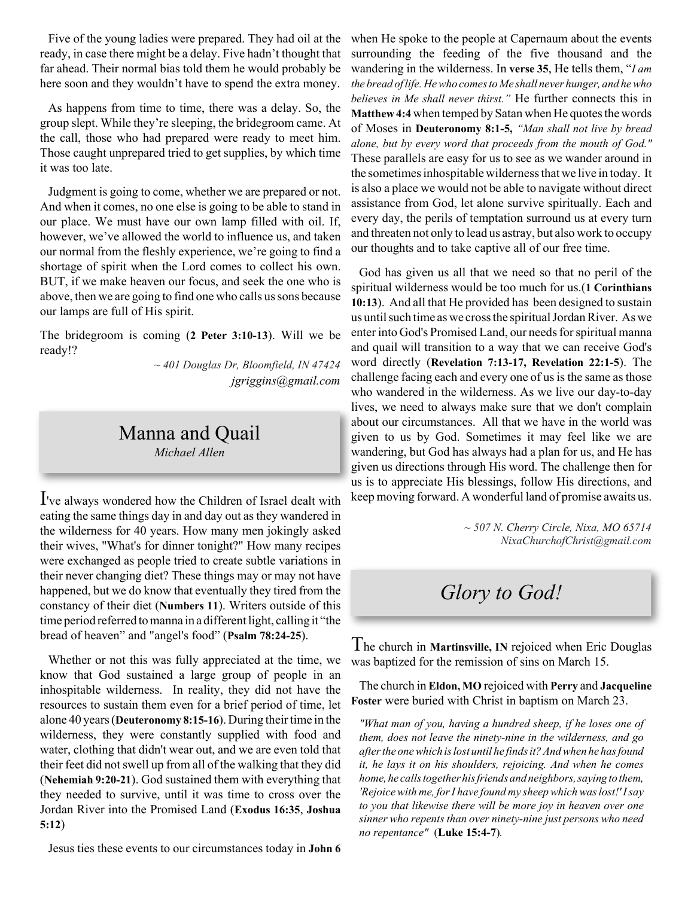Five of the young ladies were prepared. They had oil at the ready, in case there might be a delay. Five hadn't thought that far ahead. Their normal bias told them he would probably be here soon and they wouldn't have to spend the extra money.

As happens from time to time, there was a delay. So, the group slept. While they're sleeping, the bridegroom came. At the call, those who had prepared were ready to meet him. Those caught unprepared tried to get supplies, by which time it was too late.

Judgment is going to come, whether we are prepared or not. And when it comes, no one else is going to be able to stand in our place. We must have our own lamp filled with oil. If, however, we've allowed the world to influence us, and taken our normal from the fleshly experience, we're going to find a shortage of spirit when the Lord comes to collect his own. BUT, if we make heaven our focus, and seek the one who is above, then we are going to find one who calls us sons because our lamps are full of His spirit.

The bridegroom is coming (**2 Peter 3:10-13**). Will we be ready!?

> *~ 401 Douglas Dr, Bloomfield, IN 47424 jgriggins@gmail.com*

#### Manna and Quail *Michael Allen*

I've always wondered how the Children of Israel dealt with eating the same things day in and day out as they wandered in the wilderness for 40 years. How many men jokingly asked their wives, "What's for dinner tonight?" How many recipes were exchanged as people tried to create subtle variations in their never changing diet? These things may or may not have happened, but we do know that eventually they tired from the constancy of their diet (**Numbers 11**). Writers outside of this time period referred to manna in a different light, calling it "the bread of heaven" and "angel's food" (**Psalm 78:24-25**).

Whether or not this was fully appreciated at the time, we know that God sustained a large group of people in an inhospitable wilderness. In reality, they did not have the resources to sustain them even for a brief period of time, let alone 40 years(**Deuteronomy 8:15-16**). During theirtime in the wilderness, they were constantly supplied with food and water, clothing that didn't wear out, and we are even told that their feet did notswell up from all of the walking that they did (**Nehemiah 9:20-21**). God sustained them with everything that they needed to survive, until it was time to cross over the Jordan River into the Promised Land (**Exodus 16:35**, **Joshua 5:12**)

Jesus ties these events to our circumstances today in **John 6**

when He spoke to the people at Capernaum about the events surrounding the feeding of the five thousand and the wandering in the wilderness. In **verse 35**, He tells them, "*I am the bread oflife.Hewho comesto Me shall never hunger, and hewho believes in Me shall never thirst."* He further connects this in **Matthew 4:4** when temped by Satan when He quotes the words of Moses in **Deuteronomy 8:1-5,** *"Man shall not live by bread alone, but by every word that proceeds from the mouth of God."* These parallels are easy for us to see as we wander around in the sometimes inhospitable wilderness that we live in today. It is also a place we would not be able to navigate without direct assistance from God, let alone survive spiritually. Each and every day, the perils of temptation surround us at every turn and threaten not only to lead us astray, but also work to occupy our thoughts and to take captive all of our free time.

God has given us all that we need so that no peril of the spiritual wilderness would be too much for us.(**1 Corinthians 10:13**). And all that He provided has been designed to sustain us until such time as we cross the spiritual Jordan River. As we enter into God's Promised Land, our needs for spiritual manna and quail will transition to a way that we can receive God's word directly (**Revelation 7:13-17, Revelation 22:1-5**). The challenge facing each and every one of us is the same as those who wandered in the wilderness. As we live our day-to-day lives, we need to always make sure that we don't complain about our circumstances. All that we have in the world was given to us by God. Sometimes it may feel like we are wandering, but God has always had a plan for us, and He has given us directions through His word. The challenge then for us is to appreciate His blessings, follow His directions, and keep moving forward. A wonderful land of promise awaits us.

> *~ 507 N. Cherry Circle, Nixa, MO 65714 NixaChurchofChrist@gmail.com*

### *Glory to God!*

The church in **Martinsville, IN** rejoiced when Eric Douglas was baptized for the remission of sins on March 15.

The church in **Eldon, MO** rejoiced with **Perry** and **Jacqueline Foster** were buried with Christ in baptism on March 23.

*"What man of you, having a hundred sheep, if he loses one of them, does not leave the ninety-nine in the wilderness, and go afterthe onewhich islost until he findsit?Andwhen he hasfound it, he lays it on his shoulders, rejoicing. And when he comes home, he callstogether hisfriends and neighbors,saying to them, 'Rejoicewith me, forI have found my sheepwhichwaslost!'Isay to you that likewise there will be more joy in heaven over one sinner who repents than over ninety-nine just persons who need no repentance"* (**Luke 15:4-7**)*.*